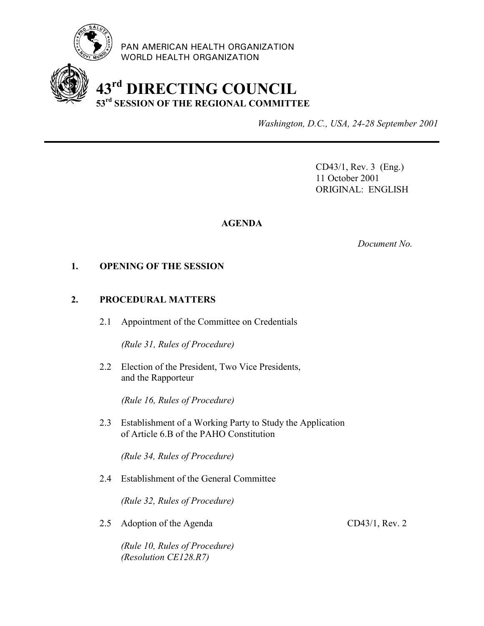

PAN AMERICAN HEALTH ORGANIZATION WORLD HEALTH ORGANIZATION

# **43rd DIRECTING COUNCIL 53rd SESSION OF THE REGIONAL COMMITTEE**

*Washington, D.C., USA, 24-28 September 2001*

CD43/1, Rev. 3 (Eng.) 11 October 2001 ORIGINAL: ENGLISH

## **AGENDA**

*Document No.*

#### **1. OPENING OF THE SESSION**

## **2. PROCEDURAL MATTERS**

2.1 Appointment of the Committee on Credentials

*(Rule 31, Rules of Procedure)*

2.2 Election of the President, Two Vice Presidents, and the Rapporteur

*(Rule 16, Rules of Procedure)*

2.3 Establishment of a Working Party to Study the Application of Article 6.B of the PAHO Constitution

*(Rule 34, Rules of Procedure)*

2.4 Establishment of the General Committee

*(Rule 32, Rules of Procedure)*

2.5 Adoption of the Agenda CD43/1, Rev. 2

*(Rule 10, Rules of Procedure) (Resolution CE128.R7)*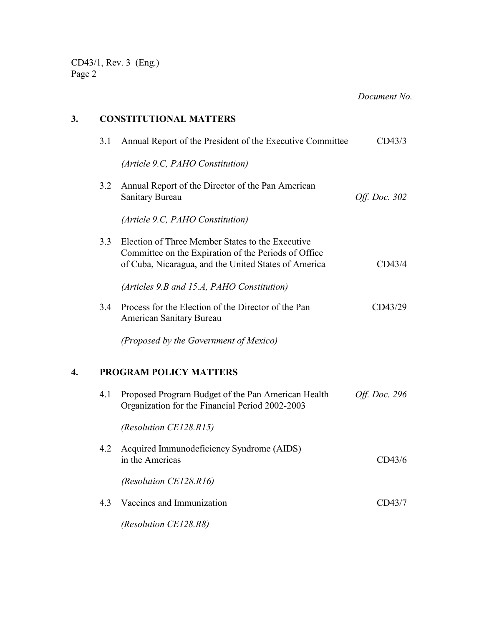*Document No.*

## **3. CONSTITUTIONAL MATTERS**

|    | 3.1 | Annual Report of the President of the Executive Committee                                                                                                        | CD43/3        |
|----|-----|------------------------------------------------------------------------------------------------------------------------------------------------------------------|---------------|
|    |     | (Article 9.C, PAHO Constitution)                                                                                                                                 |               |
|    | 3.2 | Annual Report of the Director of the Pan American<br><b>Sanitary Bureau</b>                                                                                      | Off. Doc. 302 |
|    |     | (Article 9.C, PAHO Constitution)                                                                                                                                 |               |
|    | 3.3 | Election of Three Member States to the Executive<br>Committee on the Expiration of the Periods of Office<br>of Cuba, Nicaragua, and the United States of America | CD43/4        |
|    |     | (Articles 9.B and 15.A, PAHO Constitution)                                                                                                                       |               |
|    | 3.4 | Process for the Election of the Director of the Pan<br>American Sanitary Bureau                                                                                  | CD43/29       |
|    |     | (Proposed by the Government of Mexico)                                                                                                                           |               |
| 4. |     | <b>PROGRAM POLICY MATTERS</b>                                                                                                                                    |               |
|    | 4.1 | Proposed Program Budget of the Pan American Health<br>Organization for the Financial Period 2002-2003                                                            | Off. Doc. 296 |
|    |     | (Resolution CE128.R15)                                                                                                                                           |               |
|    | 4.2 | Acquired Immunodeficiency Syndrome (AIDS)<br>in the Americas                                                                                                     | CD43/6        |
|    |     | (Resolution CE128.R16)                                                                                                                                           |               |
|    | 4.3 | Vaccines and Immunization                                                                                                                                        | CD43/7        |
|    |     | (Resolution CE128.R8)                                                                                                                                            |               |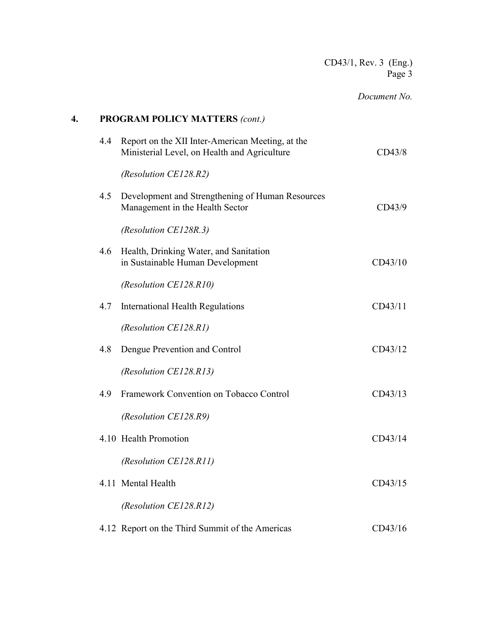## *Document No.*

| 4. |     | <b>PROGRAM POLICY MATTERS (cont.)</b>                                                            |         |
|----|-----|--------------------------------------------------------------------------------------------------|---------|
|    | 4.4 | Report on the XII Inter-American Meeting, at the<br>Ministerial Level, on Health and Agriculture | CD43/8  |
|    |     | (Resolution CE128.R2)                                                                            |         |
|    | 4.5 | Development and Strengthening of Human Resources<br>Management in the Health Sector              | CD43/9  |
|    |     | (Resolution CE128R.3)                                                                            |         |
|    | 4.6 | Health, Drinking Water, and Sanitation<br>in Sustainable Human Development                       | CD43/10 |
|    |     | (Resolution CE128.R10)                                                                           |         |
|    | 4.7 | International Health Regulations                                                                 | CD43/11 |
|    |     | (Resolution CE128.R1)                                                                            |         |
|    | 4.8 | Dengue Prevention and Control                                                                    | CD43/12 |
|    |     | (Resolution CE128.R13)                                                                           |         |
|    | 4.9 | Framework Convention on Tobacco Control                                                          | CD43/13 |
|    |     | (Resolution CE128.R9)                                                                            |         |
|    |     | 4.10 Health Promotion                                                                            | CD43/14 |
|    |     | (Resolution CE128.R11)                                                                           |         |
|    |     | 4.11 Mental Health                                                                               | CD43/15 |
|    |     | (Resolution CE128.R12)                                                                           |         |
|    |     | 4.12 Report on the Third Summit of the Americas                                                  | CD43/16 |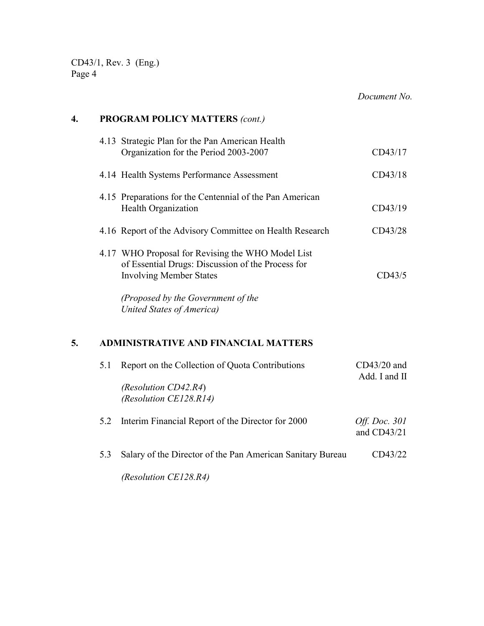*Document No.*

| 4. |     | <b>PROGRAM POLICY MATTERS (cont.)</b>                                                                                                                                                                       |                                     |  |  |
|----|-----|-------------------------------------------------------------------------------------------------------------------------------------------------------------------------------------------------------------|-------------------------------------|--|--|
|    |     | 4.13 Strategic Plan for the Pan American Health<br>Organization for the Period 2003-2007                                                                                                                    | CD43/17                             |  |  |
|    |     | 4.14 Health Systems Performance Assessment                                                                                                                                                                  | CD43/18                             |  |  |
|    |     | 4.15 Preparations for the Centennial of the Pan American<br>Health Organization                                                                                                                             | CD43/19                             |  |  |
|    |     | 4.16 Report of the Advisory Committee on Health Research                                                                                                                                                    | CD43/28                             |  |  |
|    |     | 4.17 WHO Proposal for Revising the WHO Model List<br>of Essential Drugs: Discussion of the Process for<br><b>Involving Member States</b><br>(Proposed by the Government of the<br>United States of America) | CD43/5                              |  |  |
| 5. | 5.1 | <b>ADMINISTRATIVE AND FINANCIAL MATTERS</b><br>Report on the Collection of Quota Contributions                                                                                                              | $CD43/20$ and                       |  |  |
|    |     | (Resolution CD42.R4)<br>(Resolution CE128.R14)                                                                                                                                                              | Add. I and II                       |  |  |
|    | 5.2 | Interim Financial Report of the Director for 2000                                                                                                                                                           | <i>Off. Doc.</i> 301<br>and CD43/21 |  |  |

5.3 Salary of the Director of the Pan American Sanitary Bureau CD43/22

*(Resolution CE128.R4)*